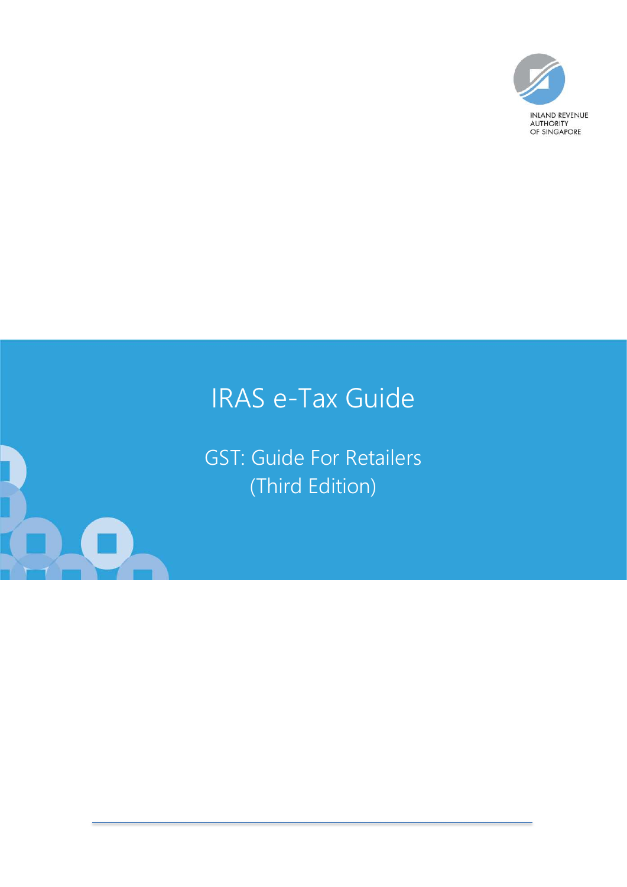

# IRAS e-Tax Guide

GST: Guide For Retailers (Third Edition)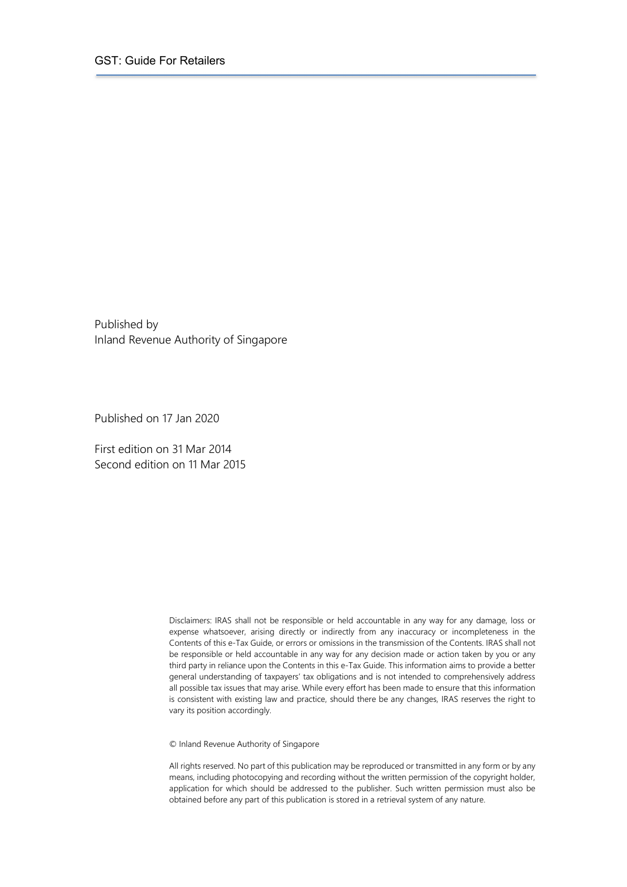Published by Inland Revenue Authority of Singapore

Published on 17 Jan 2020

First edition on 31 Mar 2014 Second edition on 11 Mar 2015

> Disclaimers: IRAS shall not be responsible or held accountable in any way for any damage, loss or expense whatsoever, arising directly or indirectly from any inaccuracy or incompleteness in the Contents of this e-Tax Guide, or errors or omissions in the transmission of the Contents. IRAS shall not be responsible or held accountable in any way for any decision made or action taken by you or any third party in reliance upon the Contents in this e-Tax Guide. This information aims to provide a better general understanding of taxpayers' tax obligations and is not intended to comprehensively address all possible tax issues that may arise. While every effort has been made to ensure that this information is consistent with existing law and practice, should there be any changes, IRAS reserves the right to vary its position accordingly.

© Inland Revenue Authority of Singapore

All rights reserved. No part of this publication may be reproduced or transmitted in any form or by any means, including photocopying and recording without the written permission of the copyright holder, application for which should be addressed to the publisher. Such written permission must also be obtained before any part of this publication is stored in a retrieval system of any nature.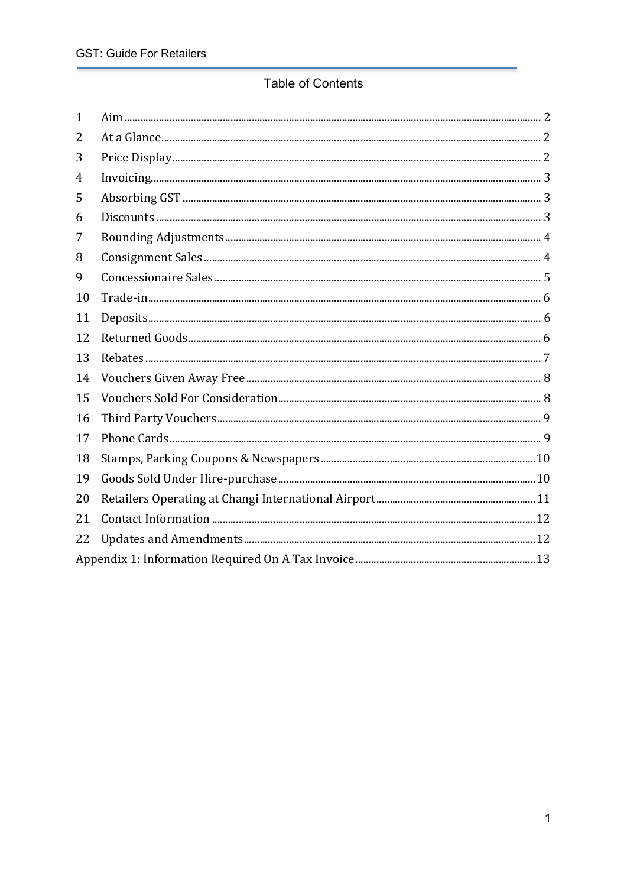# **Table of Contents**

| $\mathbf{1}$ |  |  |  |
|--------------|--|--|--|
| 2            |  |  |  |
| 3            |  |  |  |
| 4            |  |  |  |
| 5            |  |  |  |
| 6            |  |  |  |
| 7            |  |  |  |
| 8            |  |  |  |
| 9            |  |  |  |
| 10           |  |  |  |
| 11           |  |  |  |
| 12           |  |  |  |
| 13           |  |  |  |
| 14           |  |  |  |
| 15           |  |  |  |
| 16           |  |  |  |
| 17           |  |  |  |
| 18           |  |  |  |
| 19           |  |  |  |
| 20           |  |  |  |
| 21           |  |  |  |
| 22           |  |  |  |
|              |  |  |  |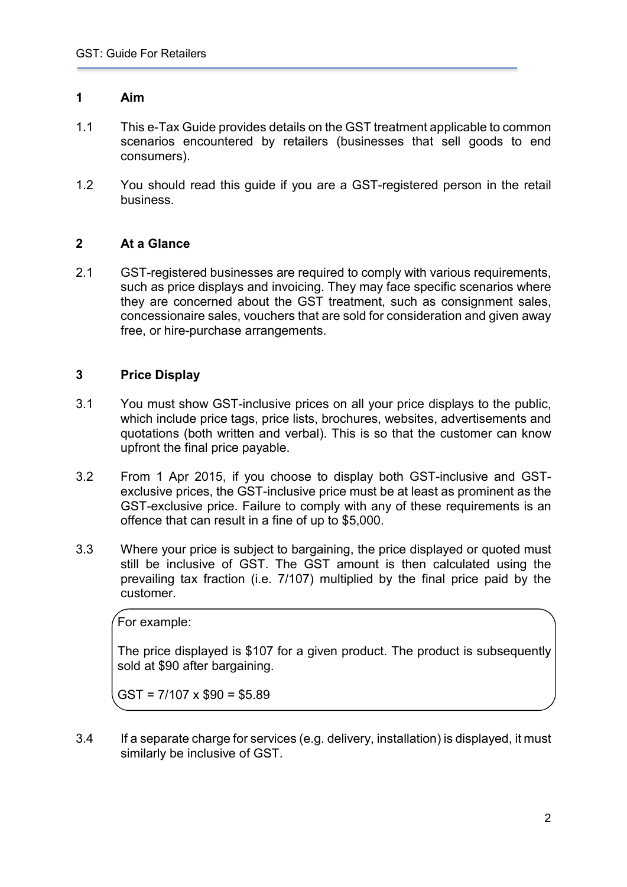## 1 Aim

- 1.1 This e-Tax Guide provides details on the GST treatment applicable to common scenarios encountered by retailers (businesses that sell goods to end consumers).
- 1.2 You should read this guide if you are a GST-registered person in the retail business.

# 2 At a Glance

2.1 GST-registered businesses are required to comply with various requirements, such as price displays and invoicing. They may face specific scenarios where they are concerned about the GST treatment, such as consignment sales, concessionaire sales, vouchers that are sold for consideration and given away free, or hire-purchase arrangements.

# 3 Price Display

- 3.1 You must show GST-inclusive prices on all your price displays to the public, which include price tags, price lists, brochures, websites, advertisements and quotations (both written and verbal). This is so that the customer can know upfront the final price payable.
- 3.2 From 1 Apr 2015, if you choose to display both GST-inclusive and GSTexclusive prices, the GST-inclusive price must be at least as prominent as the GST-exclusive price. Failure to comply with any of these requirements is an offence that can result in a fine of up to \$5,000.
- 3.3 Where your price is subject to bargaining, the price displayed or quoted must still be inclusive of GST. The GST amount is then calculated using the prevailing tax fraction (i.e. 7/107) multiplied by the final price paid by the customer.

For example:

The price displayed is \$107 for a given product. The product is subsequently sold at \$90 after bargaining.

 $GST = 7/107 \times $90 = $5.89$ 

3.4 If a separate charge for services (e.g. delivery, installation) is displayed, it must similarly be inclusive of GST.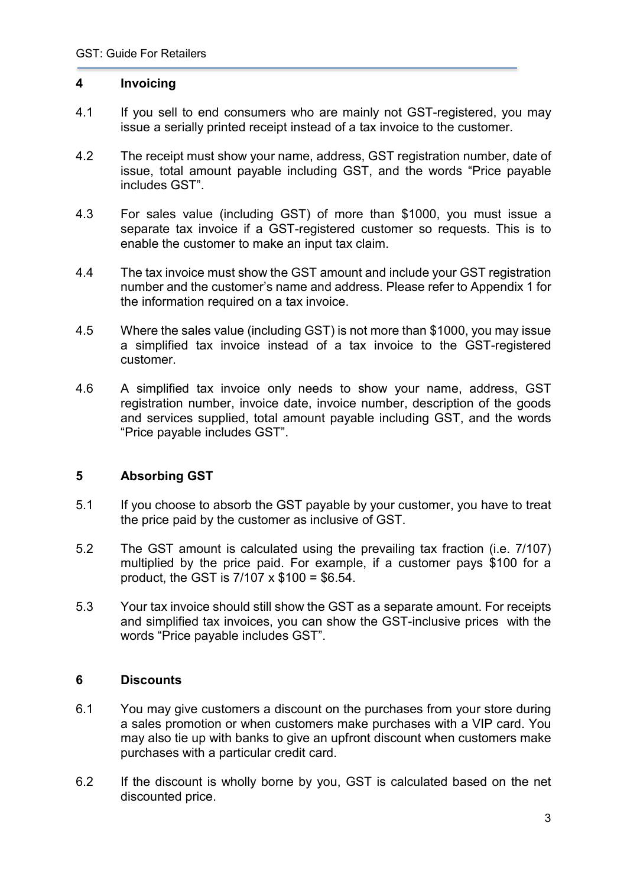### 4 Invoicing

- 4.1 If you sell to end consumers who are mainly not GST-registered, you may issue a serially printed receipt instead of a tax invoice to the customer.
- 4.2 The receipt must show your name, address, GST registration number, date of issue, total amount payable including GST, and the words "Price payable includes GST".
- 4.3 For sales value (including GST) of more than \$1000, you must issue a separate tax invoice if a GST-registered customer so requests. This is to enable the customer to make an input tax claim.
- 4.4 The tax invoice must show the GST amount and include your GST registration number and the customer's name and address. Please refer to Appendix 1 for the information required on a tax invoice.
- 4.5 Where the sales value (including GST) is not more than \$1000, you may issue a simplified tax invoice instead of a tax invoice to the GST-registered customer.
- 4.6 A simplified tax invoice only needs to show your name, address, GST registration number, invoice date, invoice number, description of the goods and services supplied, total amount payable including GST, and the words "Price payable includes GST".

## 5 Absorbing GST

- 5.1 If you choose to absorb the GST payable by your customer, you have to treat the price paid by the customer as inclusive of GST.
- 5.2 The GST amount is calculated using the prevailing tax fraction (i.e. 7/107) multiplied by the price paid. For example, if a customer pays \$100 for a product, the GST is 7/107 x \$100 = \$6.54.
- 5.3 Your tax invoice should still show the GST as a separate amount. For receipts and simplified tax invoices, you can show the GST-inclusive prices with the words "Price payable includes GST".

## 6 Discounts

- 6.1 You may give customers a discount on the purchases from your store during a sales promotion or when customers make purchases with a VIP card. You may also tie up with banks to give an upfront discount when customers make purchases with a particular credit card.
- 6.2 If the discount is wholly borne by you, GST is calculated based on the net discounted price.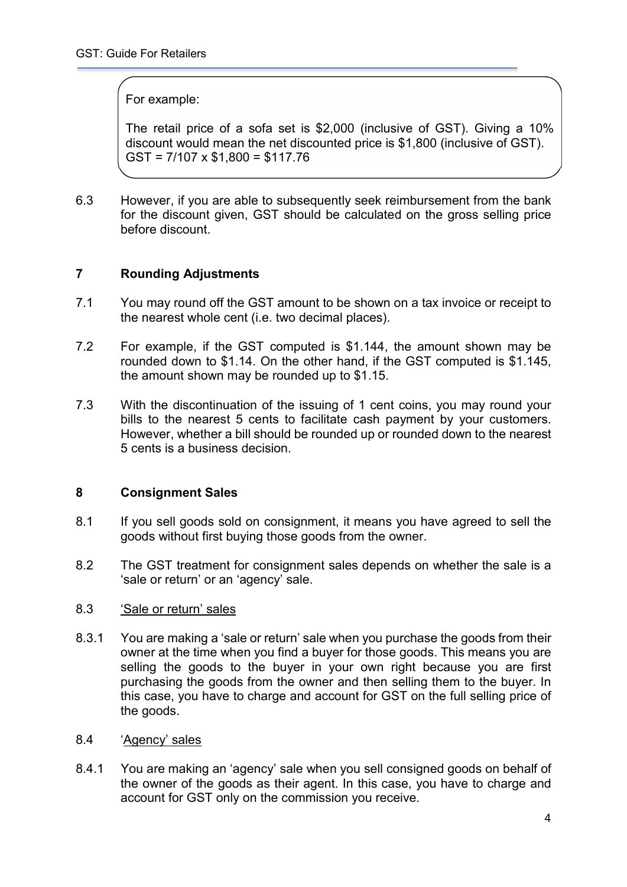# For example:

The retail price of a sofa set is \$2,000 (inclusive of GST). Giving a 10% discount would mean the net discounted price is \$1,800 (inclusive of GST).  $GST = 7/107 \times $1.800 = $117.76$ 

6.3 However, if you are able to subsequently seek reimbursement from the bank for the discount given, GST should be calculated on the gross selling price before discount.

# 7 Rounding Adjustments

- 7.1 You may round off the GST amount to be shown on a tax invoice or receipt to the nearest whole cent (i.e. two decimal places).
- 7.2 For example, if the GST computed is \$1.144, the amount shown may be rounded down to \$1.14. On the other hand, if the GST computed is \$1.145, the amount shown may be rounded up to \$1.15.
- 7.3 With the discontinuation of the issuing of 1 cent coins, you may round your bills to the nearest 5 cents to facilitate cash payment by your customers. However, whether a bill should be rounded up or rounded down to the nearest 5 cents is a business decision.

## 8 Consignment Sales

- 8.1 If you sell goods sold on consignment, it means you have agreed to sell the goods without first buying those goods from the owner.
- 8.2 The GST treatment for consignment sales depends on whether the sale is a 'sale or return' or an 'agency' sale.

## 8.3 'Sale or return' sales

- 8.3.1 You are making a 'sale or return' sale when you purchase the goods from their owner at the time when you find a buyer for those goods. This means you are selling the goods to the buyer in your own right because you are first purchasing the goods from the owner and then selling them to the buyer. In this case, you have to charge and account for GST on the full selling price of the goods.
- 8.4 'Agency' sales
- 8.4.1 You are making an 'agency' sale when you sell consigned goods on behalf of the owner of the goods as their agent. In this case, you have to charge and account for GST only on the commission you receive.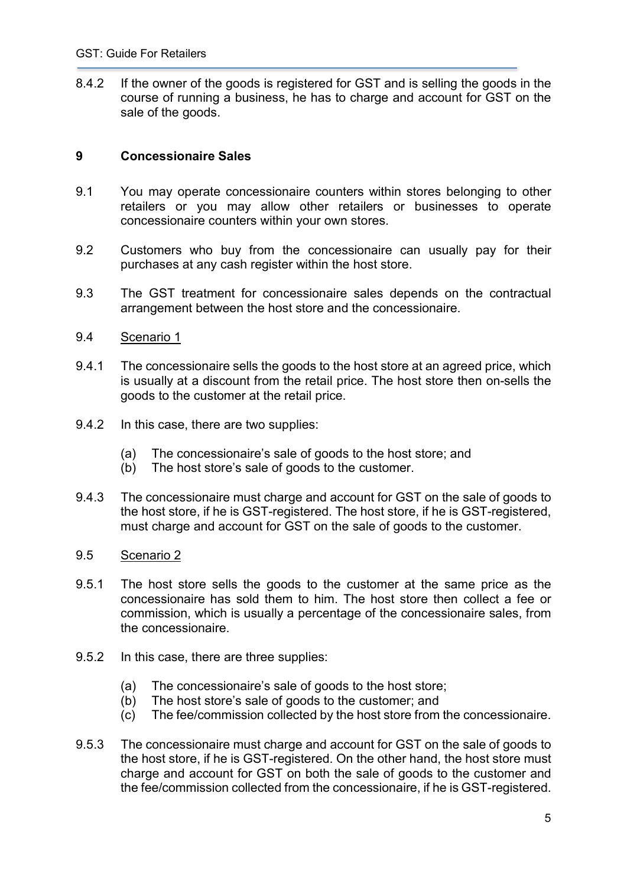8.4.2 If the owner of the goods is registered for GST and is selling the goods in the course of running a business, he has to charge and account for GST on the sale of the goods.

# 9 Concessionaire Sales

- 9.1 You may operate concessionaire counters within stores belonging to other retailers or you may allow other retailers or businesses to operate concessionaire counters within your own stores.
- 9.2 Customers who buy from the concessionaire can usually pay for their purchases at any cash register within the host store.
- 9.3 The GST treatment for concessionaire sales depends on the contractual arrangement between the host store and the concessionaire.
- 9.4 Scenario 1
- 9.4.1 The concessionaire sells the goods to the host store at an agreed price, which is usually at a discount from the retail price. The host store then on-sells the goods to the customer at the retail price.
- 9.4.2 In this case, there are two supplies:
	- (a) The concessionaire's sale of goods to the host store; and
	- (b) The host store's sale of goods to the customer.
- 9.4.3 The concessionaire must charge and account for GST on the sale of goods to the host store, if he is GST-registered. The host store, if he is GST-registered, must charge and account for GST on the sale of goods to the customer.
- 9.5 Scenario 2
- 9.5.1 The host store sells the goods to the customer at the same price as the concessionaire has sold them to him. The host store then collect a fee or commission, which is usually a percentage of the concessionaire sales, from the concessionaire.
- 9.5.2 In this case, there are three supplies:
	- (a) The concessionaire's sale of goods to the host store;
	- (b) The host store's sale of goods to the customer; and
	- (c) The fee/commission collected by the host store from the concessionaire.
- 9.5.3 The concessionaire must charge and account for GST on the sale of goods to the host store, if he is GST-registered. On the other hand, the host store must charge and account for GST on both the sale of goods to the customer and the fee/commission collected from the concessionaire, if he is GST-registered.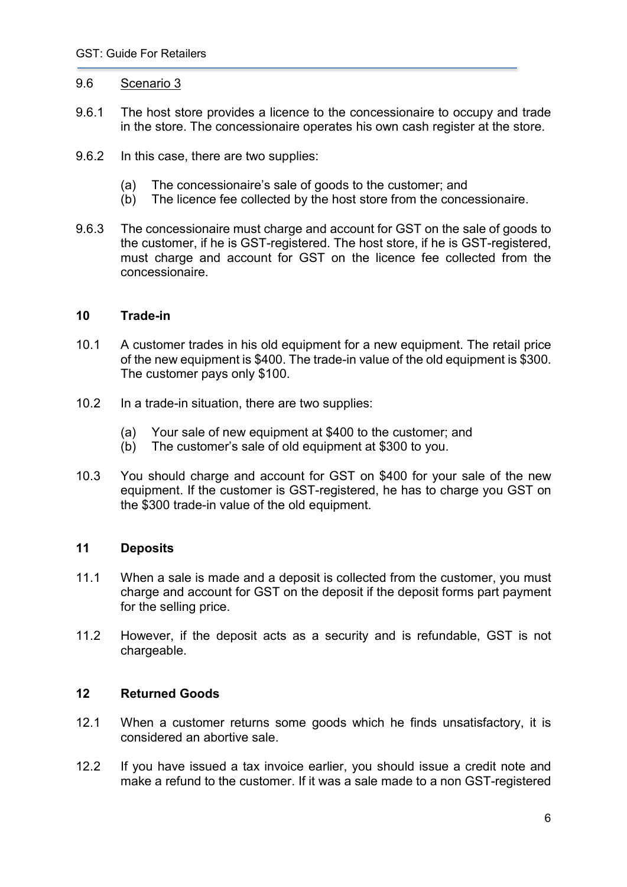#### 9.6 Scenario 3

- 9.6.1 The host store provides a licence to the concessionaire to occupy and trade in the store. The concessionaire operates his own cash register at the store.
- 9.6.2 In this case, there are two supplies:
	- (a) The concessionaire's sale of goods to the customer; and
	- (b) The licence fee collected by the host store from the concessionaire.
- 9.6.3 The concessionaire must charge and account for GST on the sale of goods to the customer, if he is GST-registered. The host store, if he is GST-registered, must charge and account for GST on the licence fee collected from the concessionaire.

#### 10 Trade-in

- 10.1 A customer trades in his old equipment for a new equipment. The retail price of the new equipment is \$400. The trade-in value of the old equipment is \$300. The customer pays only \$100.
- 10.2 In a trade-in situation, there are two supplies:
	- (a) Your sale of new equipment at \$400 to the customer; and
	- (b) The customer's sale of old equipment at \$300 to you.
- 10.3 You should charge and account for GST on \$400 for your sale of the new equipment. If the customer is GST-registered, he has to charge you GST on the \$300 trade-in value of the old equipment.

## 11 Deposits

- 11.1 When a sale is made and a deposit is collected from the customer, you must charge and account for GST on the deposit if the deposit forms part payment for the selling price.
- 11.2 However, if the deposit acts as a security and is refundable, GST is not chargeable.

## 12 Returned Goods

- 12.1 When a customer returns some goods which he finds unsatisfactory, it is considered an abortive sale.
- 12.2 If you have issued a tax invoice earlier, you should issue a credit note and make a refund to the customer. If it was a sale made to a non GST-registered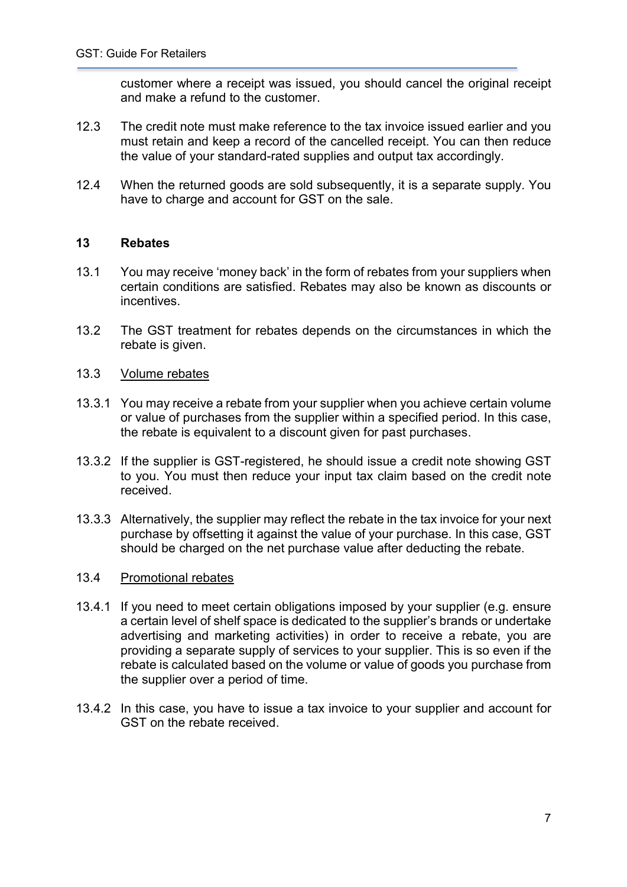customer where a receipt was issued, you should cancel the original receipt and make a refund to the customer.

- 12.3 The credit note must make reference to the tax invoice issued earlier and you must retain and keep a record of the cancelled receipt. You can then reduce the value of your standard-rated supplies and output tax accordingly.
- 12.4 When the returned goods are sold subsequently, it is a separate supply. You have to charge and account for GST on the sale.

## 13 Rebates

- 13.1 You may receive 'money back' in the form of rebates from your suppliers when certain conditions are satisfied. Rebates may also be known as discounts or incentives.
- 13.2 The GST treatment for rebates depends on the circumstances in which the rebate is given.
- 13.3 Volume rebates
- 13.3.1 You may receive a rebate from your supplier when you achieve certain volume or value of purchases from the supplier within a specified period. In this case, the rebate is equivalent to a discount given for past purchases.
- 13.3.2 If the supplier is GST-registered, he should issue a credit note showing GST to you. You must then reduce your input tax claim based on the credit note received.
- 13.3.3 Alternatively, the supplier may reflect the rebate in the tax invoice for your next purchase by offsetting it against the value of your purchase. In this case, GST should be charged on the net purchase value after deducting the rebate.

## 13.4 Promotional rebates

- 13.4.1 If you need to meet certain obligations imposed by your supplier (e.g. ensure a certain level of shelf space is dedicated to the supplier's brands or undertake advertising and marketing activities) in order to receive a rebate, you are providing a separate supply of services to your supplier. This is so even if the rebate is calculated based on the volume or value of goods you purchase from the supplier over a period of time.
- 13.4.2 In this case, you have to issue a tax invoice to your supplier and account for GST on the rebate received.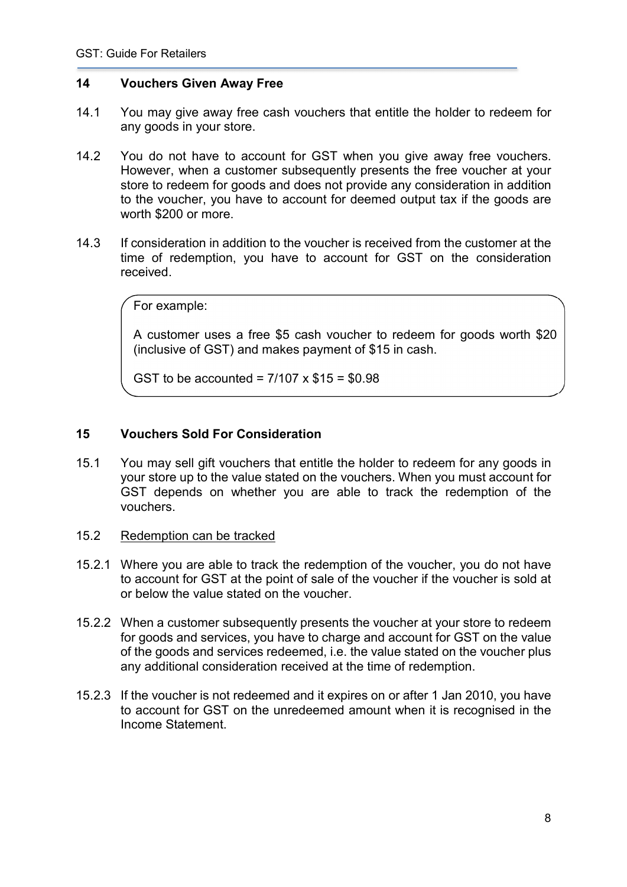### 14 Vouchers Given Away Free

- 14.1 You may give away free cash vouchers that entitle the holder to redeem for any goods in your store.
- 14.2 You do not have to account for GST when you give away free vouchers. However, when a customer subsequently presents the free voucher at your store to redeem for goods and does not provide any consideration in addition to the voucher, you have to account for deemed output tax if the goods are worth \$200 or more.
- 14.3 If consideration in addition to the voucher is received from the customer at the time of redemption, you have to account for GST on the consideration received.

For example:

A customer uses a free \$5 cash voucher to redeem for goods worth \$20 (inclusive of GST) and makes payment of \$15 in cash.

GST to be accounted =  $7/107 \times $15 = $0.98$ 

## 15 Vouchers Sold For Consideration

- 15.1 You may sell gift vouchers that entitle the holder to redeem for any goods in your store up to the value stated on the vouchers. When you must account for GST depends on whether you are able to track the redemption of the vouchers.
- 15.2 Redemption can be tracked
- 15.2.1 Where you are able to track the redemption of the voucher, you do not have to account for GST at the point of sale of the voucher if the voucher is sold at or below the value stated on the voucher.
- 15.2.2 When a customer subsequently presents the voucher at your store to redeem for goods and services, you have to charge and account for GST on the value of the goods and services redeemed, i.e. the value stated on the voucher plus any additional consideration received at the time of redemption.
- 15.2.3 If the voucher is not redeemed and it expires on or after 1 Jan 2010, you have to account for GST on the unredeemed amount when it is recognised in the Income Statement.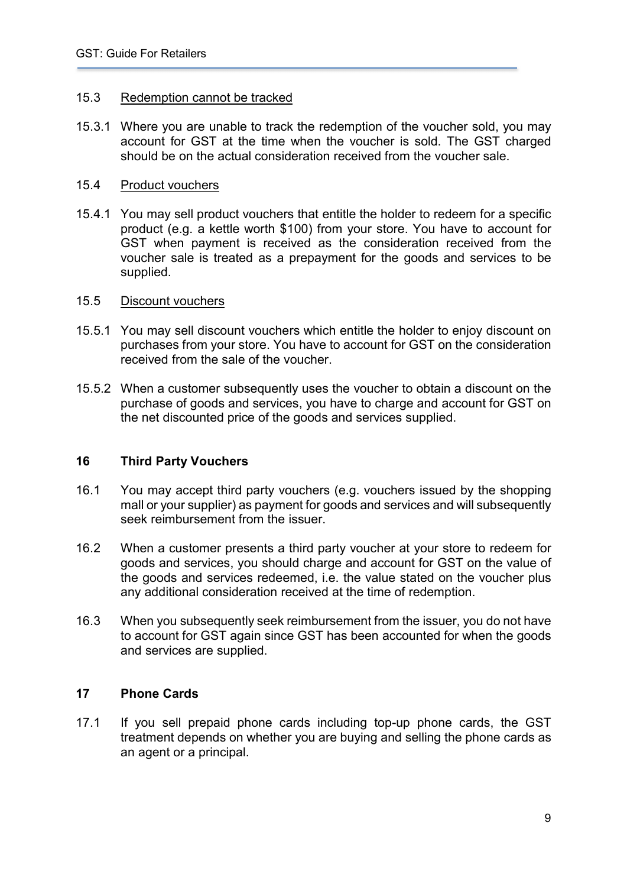#### 15.3 Redemption cannot be tracked

15.3.1 Where you are unable to track the redemption of the voucher sold, you may account for GST at the time when the voucher is sold. The GST charged should be on the actual consideration received from the voucher sale.

#### 15.4 Product vouchers

15.4.1 You may sell product vouchers that entitle the holder to redeem for a specific product (e.g. a kettle worth \$100) from your store. You have to account for GST when payment is received as the consideration received from the voucher sale is treated as a prepayment for the goods and services to be supplied.

#### 15.5 Discount vouchers

- 15.5.1 You may sell discount vouchers which entitle the holder to enjoy discount on purchases from your store. You have to account for GST on the consideration received from the sale of the voucher.
- 15.5.2 When a customer subsequently uses the voucher to obtain a discount on the purchase of goods and services, you have to charge and account for GST on the net discounted price of the goods and services supplied.

## 16 Third Party Vouchers

- 16.1 You may accept third party vouchers (e.g. vouchers issued by the shopping mall or your supplier) as payment for goods and services and will subsequently seek reimbursement from the issuer.
- 16.2 When a customer presents a third party voucher at your store to redeem for goods and services, you should charge and account for GST on the value of the goods and services redeemed, i.e. the value stated on the voucher plus any additional consideration received at the time of redemption.
- 16.3 When you subsequently seek reimbursement from the issuer, you do not have to account for GST again since GST has been accounted for when the goods and services are supplied.

## 17 Phone Cards

17.1 If you sell prepaid phone cards including top-up phone cards, the GST treatment depends on whether you are buying and selling the phone cards as an agent or a principal.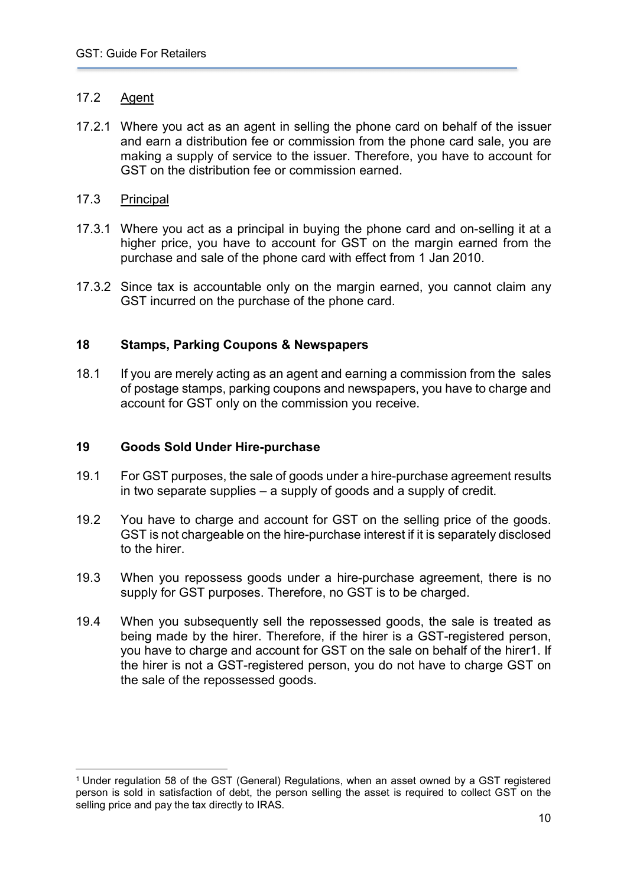## 17.2 Agent

- 17.2.1 Where you act as an agent in selling the phone card on behalf of the issuer and earn a distribution fee or commission from the phone card sale, you are making a supply of service to the issuer. Therefore, you have to account for GST on the distribution fee or commission earned.
- 17.3 Principal
- 17.3.1 Where you act as a principal in buying the phone card and on-selling it at a higher price, you have to account for GST on the margin earned from the purchase and sale of the phone card with effect from 1 Jan 2010.
- 17.3.2 Since tax is accountable only on the margin earned, you cannot claim any GST incurred on the purchase of the phone card.

## 18 Stamps, Parking Coupons & Newspapers

18.1 If you are merely acting as an agent and earning a commission from the sales of postage stamps, parking coupons and newspapers, you have to charge and account for GST only on the commission you receive.

#### 19 Goods Sold Under Hire-purchase

- 19.1 For GST purposes, the sale of goods under a hire-purchase agreement results in two separate supplies – a supply of goods and a supply of credit.
- 19.2 You have to charge and account for GST on the selling price of the goods. GST is not chargeable on the hire-purchase interest if it is separately disclosed to the hirer.
- 19.3 When you repossess goods under a hire-purchase agreement, there is no supply for GST purposes. Therefore, no GST is to be charged.
- 19.4 When you subsequently sell the repossessed goods, the sale is treated as being made by the hirer. Therefore, if the hirer is a GST-registered person, you have to charge and account for GST on the sale on behalf of the hirer1. If the hirer is not a GST-registered person, you do not have to charge GST on the sale of the repossessed goods.

<sup>-</sup>1 Under regulation 58 of the GST (General) Regulations, when an asset owned by a GST registered person is sold in satisfaction of debt, the person selling the asset is required to collect GST on the selling price and pay the tax directly to IRAS.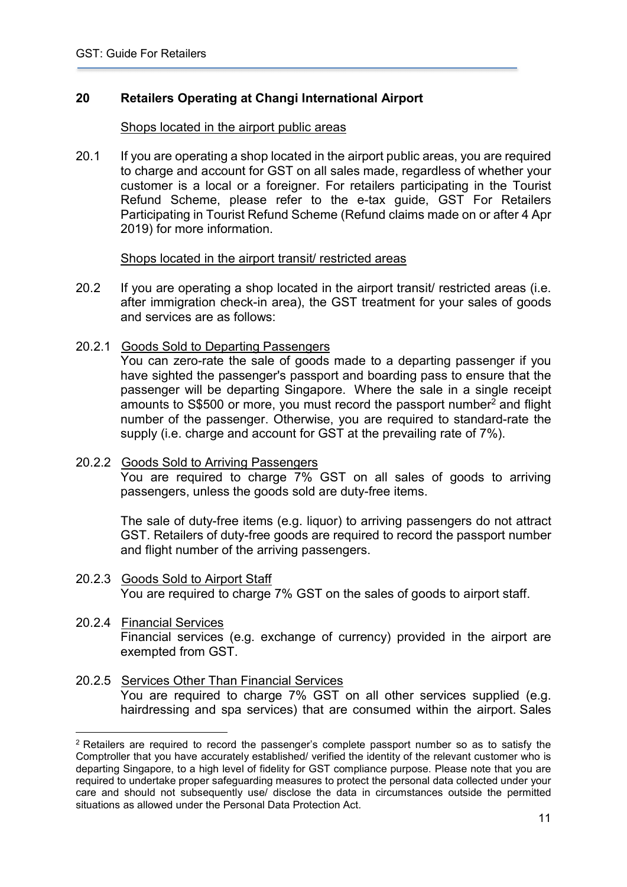# 20 Retailers Operating at Changi International Airport

#### Shops located in the airport public areas

20.1 If you are operating a shop located in the airport public areas, you are required to charge and account for GST on all sales made, regardless of whether your customer is a local or a foreigner. For retailers participating in the Tourist Refund Scheme, please refer to the e-tax guide, GST For Retailers Participating in Tourist Refund Scheme (Refund claims made on or after 4 Apr 2019) for more information.

#### Shops located in the airport transit/ restricted areas

- 20.2 If you are operating a shop located in the airport transit/ restricted areas (i.e. after immigration check-in area), the GST treatment for your sales of goods and services are as follows:
- 20.2.1 Goods Sold to Departing Passengers

You can zero-rate the sale of goods made to a departing passenger if you have sighted the passenger's passport and boarding pass to ensure that the passenger will be departing Singapore. Where the sale in a single receipt amounts to S\$500 or more, you must record the passport number<sup>2</sup> and flight number of the passenger. Otherwise, you are required to standard-rate the supply (i.e. charge and account for GST at the prevailing rate of 7%).

20.2.2 Goods Sold to Arriving Passengers You are required to charge 7% GST on all sales of goods to arriving passengers, unless the goods sold are duty-free items.

The sale of duty-free items (e.g. liquor) to arriving passengers do not attract GST. Retailers of duty-free goods are required to record the passport number and flight number of the arriving passengers.

20.2.3 Goods Sold to Airport Staff You are required to charge 7% GST on the sales of goods to airport staff.

## 20.2.4 Financial Services

-

Financial services (e.g. exchange of currency) provided in the airport are exempted from GST.

#### 20.2.5 Services Other Than Financial Services You are required to charge 7% GST on all other services supplied (e.g. hairdressing and spa services) that are consumed within the airport. Sales

<sup>&</sup>lt;sup>2</sup> Retailers are required to record the passenger's complete passport number so as to satisfy the Comptroller that you have accurately established/ verified the identity of the relevant customer who is departing Singapore, to a high level of fidelity for GST compliance purpose. Please note that you are required to undertake proper safeguarding measures to protect the personal data collected under your care and should not subsequently use/ disclose the data in circumstances outside the permitted situations as allowed under the Personal Data Protection Act.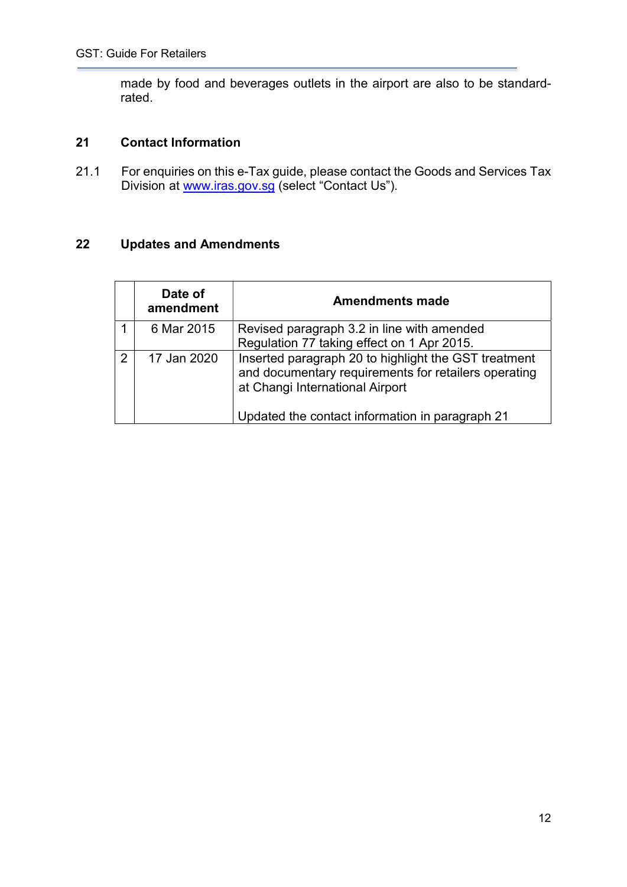made by food and beverages outlets in the airport are also to be standardrated.

# 21 Contact Information

21.1 For enquiries on this e-Tax guide, please contact the Goods and Services Tax Division at www.iras.gov.sg (select "Contact Us").

# 22 Updates and Amendments

|               | Date of<br>amendment | <b>Amendments made</b>                                                                                                                          |
|---------------|----------------------|-------------------------------------------------------------------------------------------------------------------------------------------------|
|               | 6 Mar 2015           | Revised paragraph 3.2 in line with amended                                                                                                      |
|               |                      | Regulation 77 taking effect on 1 Apr 2015.                                                                                                      |
| $\mathcal{P}$ | 17 Jan 2020          | Inserted paragraph 20 to highlight the GST treatment<br>and documentary requirements for retailers operating<br>at Changi International Airport |
|               |                      | Updated the contact information in paragraph 21                                                                                                 |